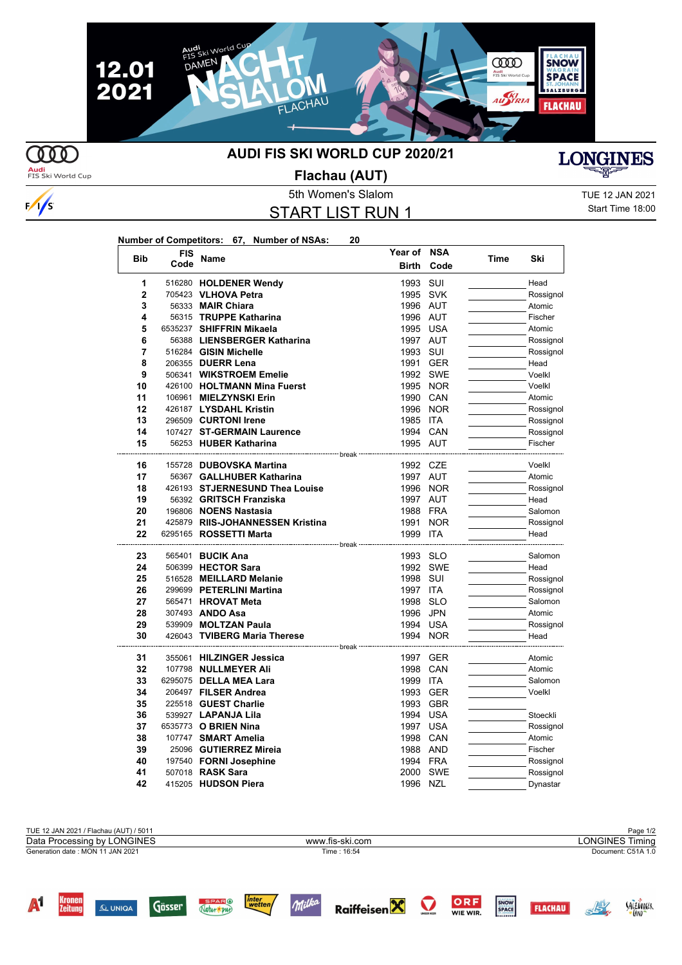

**COO** 

 $\sqrt{s}$ 

## **AUDI FIS SKI WORLD CUP 2020/21**



**Audi**<br>FIS Ski World Cup

**Flachau (AUT)**

## START LIST RUN 1

5th Women's Slalom TUE 12 JAN 2021 Start Time 18:00

SALZOVACER

| Number of Competitors: 67, Number of NSAs: |  | 20 |
|--------------------------------------------|--|----|
|                                            |  |    |

| <b>Bib</b>              | <b>FIS</b> | <b>Name</b>                                              | Year of NSA  |            |      | Ski       |
|-------------------------|------------|----------------------------------------------------------|--------------|------------|------|-----------|
|                         | Code       |                                                          | <b>Birth</b> | Code       | Time |           |
| 1                       |            | 516280 HOLDENER Wendy                                    | 1993         | SUI        |      | Head      |
| $\overline{\mathbf{c}}$ |            | 705423 VLHOVA Petra                                      | 1995 SVK     |            |      | Rossignol |
| 3                       |            | 56333 MAIR Chiara                                        | 1996 AUT     |            |      | Atomic    |
| 4                       |            | 56315 TRUPPE Katharina                                   | 1996 AUT     |            |      | Fischer   |
| 5                       |            | 6535237 SHIFFRIN Mikaela                                 | 1995 USA     |            |      | Atomic    |
| 6                       |            | 56388 LIENSBERGER Katharina                              | 1997 AUT     |            |      | Rossignol |
| 7                       |            | 516284 GISIN Michelle                                    | 1993 SUI     |            |      | Rossignol |
| 8                       |            | 206355 DUERR Lena                                        | 1991 GER     |            |      | Head      |
| 9                       |            | 506341 WIKSTROEM Emelie                                  |              | 1992 SWE   |      | Voelkl    |
| 10                      |            | 426100 HOLTMANN Mina Fuerst                              |              | 1995 NOR   |      | Voelkl    |
| 11                      |            | 106961 MIELZYNSKI Erin                                   | 1990         | CAN        |      | Atomic    |
| 12                      |            | 426187 LYSDAHL Kristin                                   | 1996 NOR     |            |      | Rossignol |
| 13                      |            | 296509 CURTONI Irene                                     | 1985 ITA     |            |      | Rossignol |
| 14                      |            | 107427 ST-GERMAIN Laurence                               | 1994 CAN     |            |      | Rossignol |
| 15                      |            | 56253 HUBER Katharina                                    | 1995 AUT     |            |      | Fischer   |
| 16                      |            | ----------------------- break<br>155728 DUBOVSKA Martina | 1992 CZE     |            |      | Voelkl    |
| 17                      |            | 56367 GALLHUBER Katharina                                | 1997 AUT     |            |      | Atomic    |
| 18                      |            | 426193 STJERNESUND Thea Louise                           |              | 1996 NOR   |      | Rossignol |
| 19                      |            | 56392 GRITSCH Franziska                                  | 1997 AUT     |            |      | Head      |
| 20                      |            | 196806 NOENS Nastasia                                    | 1988 FRA     |            |      | Salomon   |
| 21                      |            | 425879 RIIS-JOHANNESSEN Kristina                         | 1991         | <b>NOR</b> |      | Rossignol |
| 22                      |            | 6295165 <b>ROSSETTI Marta</b>                            | 1999 ITA     |            |      | Head      |
| 23                      |            | ------------------- break ---<br>565401 BUCIK Ana        | 1993 SLO     |            |      | Salomon   |
| 24                      |            | 506399 HECTOR Sara                                       |              | 1992 SWE   |      | Head      |
| 25                      |            | 516528 MEILLARD Melanie                                  | 1998         | SUI        |      | Rossignol |
| 26                      |            | 299699 PETERLINI Martina                                 | 1997 ITA     |            |      | Rossignol |
| 27                      |            | 565471 HROVAT Meta                                       | 1998         | <b>SLO</b> |      | Salomon   |
| 28                      |            | 307493 ANDO Asa                                          | 1996 JPN     |            |      | Atomic    |
| 29                      |            | 539909 MOLTZAN Paula                                     | 1994 USA     |            |      | Rossignol |
| 30                      |            | 426043 TVIBERG Maria Therese                             | 1994 NOR     |            |      | Head      |
|                         |            | --- break -                                              |              |            |      |           |
| 31                      |            | 355061 HILZINGER Jessica                                 | 1997 GER     |            |      | Atomic    |
| 32                      |            | 107798 NULLMEYER Ali                                     | 1998 CAN     |            |      | Atomic    |
| 33                      |            | 6295075 DELLA MEA Lara                                   | 1999 ITA     |            |      | Salomon   |
| 34                      |            | 206497 FILSER Andrea                                     | 1993         | <b>GER</b> |      | Voelkl    |
| 35                      |            | 225518 GUEST Charlie                                     | 1993 GBR     |            |      |           |
| 36                      |            | 539927 LAPANJA Lila                                      | 1994 USA     |            |      | Stoeckli  |
| 37                      |            | 6535773 O BRIEN Nina                                     | 1997 USA     |            |      | Rossignol |
| 38                      |            | 107747 SMART Amelia                                      | 1998 CAN     |            |      | Atomic    |
| 39                      |            | 25096 GUTIERREZ Mireia                                   | 1988 AND     |            |      | Fischer   |
| 40                      |            | 197540 FORNI Josephine                                   | 1994 FRA     |            |      | Rossignol |
| 41                      |            | 507018 RASK Sara                                         | 2000         | SWE        |      | Rossignol |
| 42                      |            | 415205 HUDSON Piera                                      | 1996 NZL     |            |      | Dynastar  |

| TUE 12 JAN 2021 / Flachau (AUT) / 5011 |                 | Page 1/2               |
|----------------------------------------|-----------------|------------------------|
| Data Processing by LONGINES            | www.fis-ski.com | <b>LONGINES Timing</b> |
| Generation date: MON 11 JAN 2021       | Time: 16:54     | Document: C51A 1.0     |
|                                        |                 |                        |
|                                        |                 |                        |
|                                        |                 |                        |

Raiffeisen $\mathbf X$ 

inter<br>\_wetten<sub>j</sub>

Natur + put

 $Q$  UNIQA

Gösser

Milka

ORF<br>WIE WIR.

SNOW

**FLACHAU**